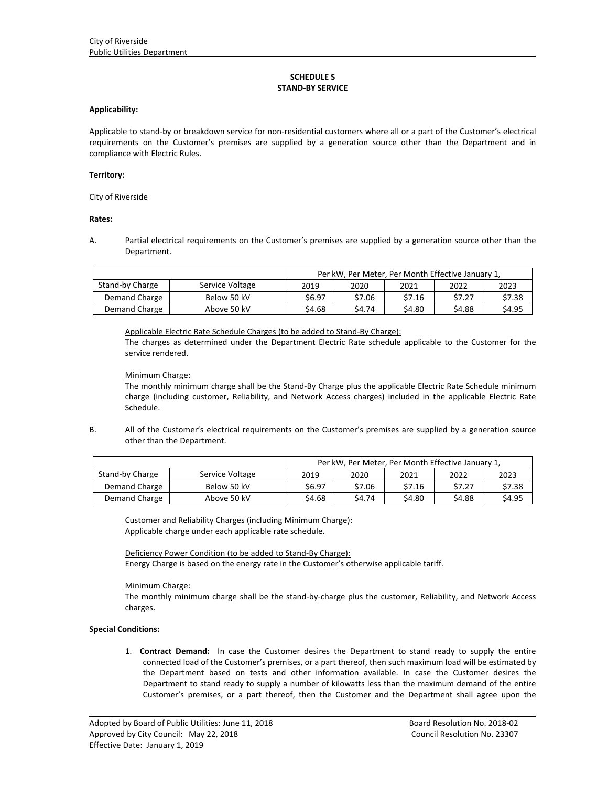# **SCHEDULE S STAND‐BY SERVICE**

#### **Applicability:**

Applicable to stand‐by or breakdown service for non‐residential customers where all or a part of the Customer's electrical requirements on the Customer's premises are supplied by a generation source other than the Department and in compliance with Electric Rules.

### **Territory:**

City of Riverside

# **Rates:**

A. Partial electrical requirements on the Customer's premises are supplied by a generation source other than the Department.

|                 | Per kW, Per Meter, Per Month Effective January 1, |        |        |        |        |        |
|-----------------|---------------------------------------------------|--------|--------|--------|--------|--------|
| Stand-by Charge | Service Voltage                                   | 2019   | 2020   | 2021   | 2022   | 2023   |
| Demand Charge   | Below 50 kV                                       | \$6.97 | \$7.06 | \$7.16 | \$7.27 | \$7.38 |
| Demand Charge   | Above 50 kV                                       | \$4.68 | \$4.74 | \$4.80 | \$4.88 | \$4.95 |

Applicable Electric Rate Schedule Charges (to be added to Stand‐By Charge):

The charges as determined under the Department Electric Rate schedule applicable to the Customer for the service rendered.

### Minimum Charge:

The monthly minimum charge shall be the Stand‐By Charge plus the applicable Electric Rate Schedule minimum charge (including customer, Reliability, and Network Access charges) included in the applicable Electric Rate Schedule.

B. All of the Customer's electrical requirements on the Customer's premises are supplied by a generation source other than the Department.

|                 | Per kW, Per Meter, Per Month Effective January 1, |        |        |        |        |        |
|-----------------|---------------------------------------------------|--------|--------|--------|--------|--------|
| Stand-by Charge | Service Voltage                                   | 2019   | 2020   | 2021   | 2022   | 2023   |
| Demand Charge   | Below 50 kV                                       | \$6.97 | \$7.06 | \$7.16 | \$7.27 | \$7.38 |
| Demand Charge   | Above 50 kV                                       | \$4.68 | \$4.74 | \$4.80 | \$4.88 | \$4.95 |

Customer and Reliability Charges (including Minimum Charge): Applicable charge under each applicable rate schedule.

Deficiency Power Condition (to be added to Stand‐By Charge): Energy Charge is based on the energy rate in the Customer's otherwise applicable tariff.

Minimum Charge:

The monthly minimum charge shall be the stand‐by‐charge plus the customer, Reliability, and Network Access charges.

# **Special Conditions:**

1. **Contract Demand:** In case the Customer desires the Department to stand ready to supply the entire connected load of the Customer's premises, or a part thereof, then such maximum load will be estimated by the Department based on tests and other information available. In case the Customer desires the Department to stand ready to supply a number of kilowatts less than the maximum demand of the entire Customer's premises, or a part thereof, then the Customer and the Department shall agree upon the

<u> 1989 - Johann Stoff, deutscher Stoffen und der Stoffen und der Stoffen und der Stoffen und der Stoffen und der</u>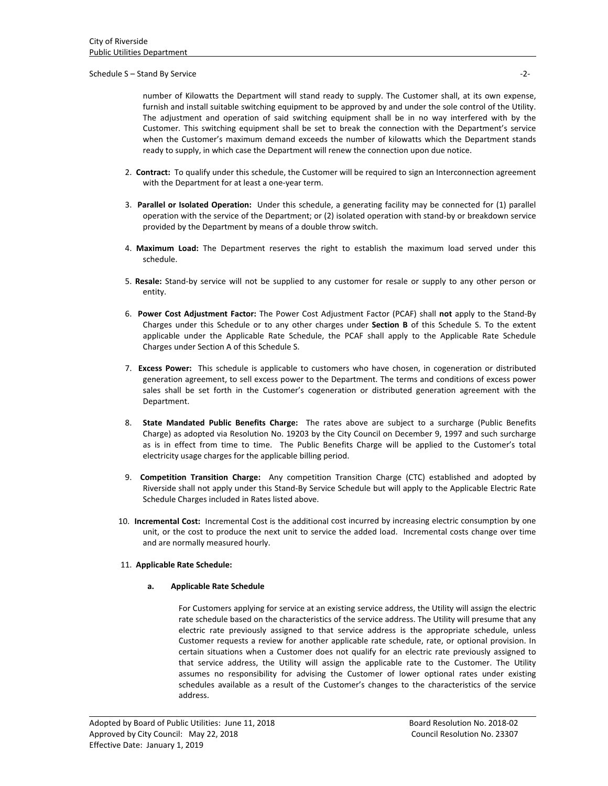### Schedule S – Stand By Service **The Stand By Service** and Standard Standard Standard Standard Standard Standard Standard Standard Standard Standard Standard Standard Standard Standard Standard Standard Standard Standard Sta

number of Kilowatts the Department will stand ready to supply. The Customer shall, at its own expense, furnish and install suitable switching equipment to be approved by and under the sole control of the Utility. The adjustment and operation of said switching equipment shall be in no way interfered with by the Customer. This switching equipment shall be set to break the connection with the Department's service when the Customer's maximum demand exceeds the number of kilowatts which the Department stands ready to supply, in which case the Department will renew the connection upon due notice.

- 2. **Contract:** To qualify under this schedule, the Customer will be required to sign an Interconnection agreement with the Department for at least a one‐year term.
- 3. **Parallel or Isolated Operation:** Under this schedule, a generating facility may be connected for (1) parallel operation with the service of the Department; or (2) isolated operation with stand‐by or breakdown service provided by the Department by means of a double throw switch.
- 4. **Maximum Load:** The Department reserves the right to establish the maximum load served under this schedule.
- 5. **Resale:** Stand‐by service will not be supplied to any customer for resale or supply to any other person or entity.
- 6. **Power Cost Adjustment Factor:** The Power Cost Adjustment Factor (PCAF) shall **not** apply to the Stand‐By Charges under this Schedule or to any other charges under **Section B** of this Schedule S. To the extent applicable under the Applicable Rate Schedule, the PCAF shall apply to the Applicable Rate Schedule Charges under Section A of this Schedule S.
- 7. **Excess Power:**  This schedule is applicable to customers who have chosen, in cogeneration or distributed generation agreement, to sell excess power to the Department. The terms and conditions of excess power sales shall be set forth in the Customer's cogeneration or distributed generation agreement with the Department.
- 8. **State Mandated Public Benefits Charge:**  The rates above are subject to a surcharge (Public Benefits Charge) as adopted via Resolution No. 19203 by the City Council on December 9, 1997 and such surcharge as is in effect from time to time. The Public Benefits Charge will be applied to the Customer's total electricity usage charges for the applicable billing period.
- 9. **Competition Transition Charge:**  Any competition Transition Charge (CTC) established and adopted by Riverside shall not apply under this Stand‐By Service Schedule but will apply to the Applicable Electric Rate Schedule Charges included in Rates listed above.
- 10. **Incremental Cost:** Incremental Cost is the additional cost incurred by increasing electric consumption by one unit, or the cost to produce the next unit to service the added load. Incremental costs change over time and are normally measured hourly.

<u> 1989 - Johann Stoff, deutscher Stoffen und der Stoffen und der Stoffen und der Stoffen und der Stoffen und der</u>

# 11. **Applicable Rate Schedule:**

#### **a. Applicable Rate Schedule**

For Customers applying for service at an existing service address, the Utility will assign the electric rate schedule based on the characteristics of the service address. The Utility will presume that any electric rate previously assigned to that service address is the appropriate schedule, unless Customer requests a review for another applicable rate schedule, rate, or optional provision. In certain situations when a Customer does not qualify for an electric rate previously assigned to that service address, the Utility will assign the applicable rate to the Customer. The Utility assumes no responsibility for advising the Customer of lower optional rates under existing schedules available as a result of the Customer's changes to the characteristics of the service address.